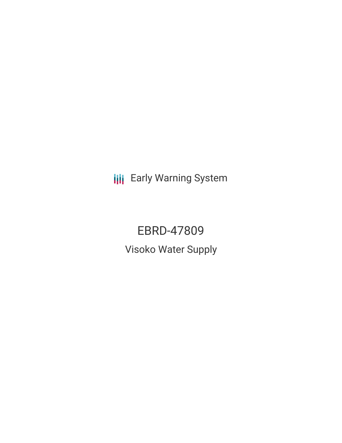**III** Early Warning System

EBRD-47809 Visoko Water Supply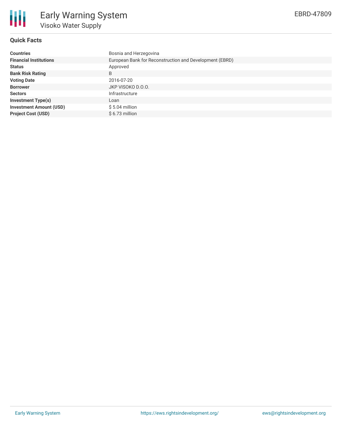

# **Quick Facts**

| <b>Countries</b>               | Bosnia and Herzegovina                                  |
|--------------------------------|---------------------------------------------------------|
| <b>Financial Institutions</b>  | European Bank for Reconstruction and Development (EBRD) |
| <b>Status</b>                  | Approved                                                |
| <b>Bank Risk Rating</b>        | B                                                       |
| <b>Voting Date</b>             | 2016-07-20                                              |
| <b>Borrower</b>                | JKP VISOKO D.O.O.                                       |
| <b>Sectors</b>                 | Infrastructure                                          |
| <b>Investment Type(s)</b>      | Loan                                                    |
| <b>Investment Amount (USD)</b> | $$5.04$ million                                         |
| <b>Project Cost (USD)</b>      | $$6.73$ million                                         |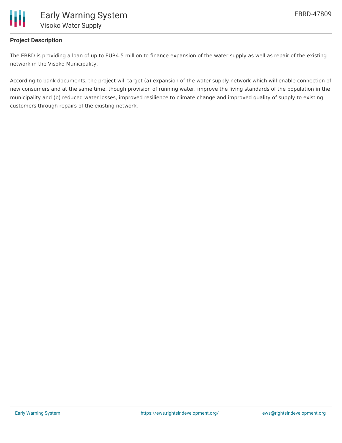

### **Project Description**

The EBRD is providing a loan of up to EUR4.5 million to finance expansion of the water supply as well as repair of the existing network in the Visoko Municipality.

According to bank documents, the project will target (a) expansion of the water supply network which will enable connection of new consumers and at the same time, though provision of running water, improve the living standards of the population in the municipality and (b) reduced water losses, improved resilience to climate change and improved quality of supply to existing customers through repairs of the existing network.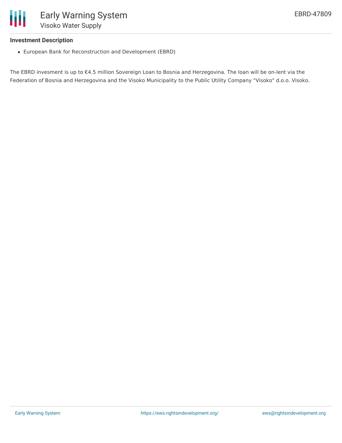

#### **Investment Description**

European Bank for Reconstruction and Development (EBRD)

The EBRD invesment is up to €4.5 million Sovereign Loan to Bosnia and Herzegovina. The loan will be on-lent via the Federation of Bosnia and Herzegovina and the Visoko Municipality to the Public Utility Company "Visoko" d.o.o. Visoko.